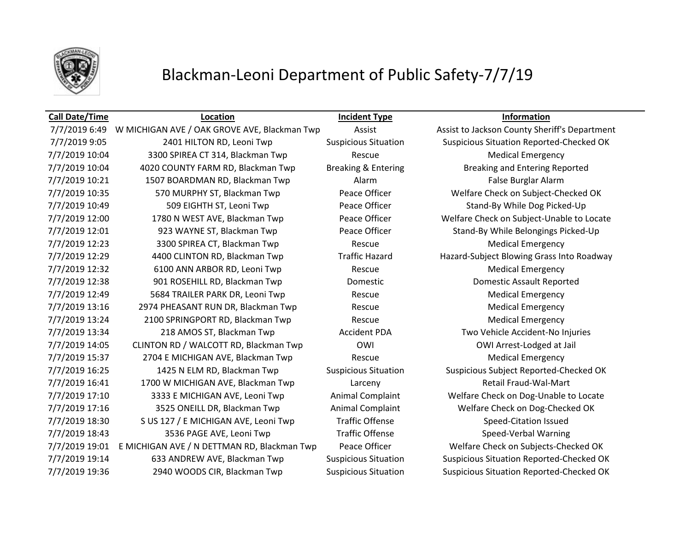

## Blackman-Leoni Department of Public Safety-7/7/19

### **Call Date/Time Location Incident Type Information**

7/7/2019 9:05 2401 HILTON RD, Leoni Twp Suspicious Situation Suspicious Situation Reported-Checked OK 7/7/2019 10:04 3300 SPIREA CT 314, Blackman Twp Rescue Medical Emergency 7/7/2019 10:04 4020 COUNTY FARM RD, Blackman Twp Breaking & Entering Breaking and Entering Reported 7/7/2019 10:21 1507 BOARDMAN RD, Blackman Twp Alarm Alarm False Burglar Alarm 7/7/2019 10:35 570 MURPHY ST, Blackman Twp Peace Officer Welfare Check on Subject-Checked OK 7/7/2019 10:49 509 EIGHTH ST, Leoni Twp Peace Officer Stand-By While Dog Picked-Up 7/7/2019 12:00 1780 N WEST AVE, Blackman Twp Peace Officer Welfare Check on Subject-Unable to Locate 7/7/2019 12:01 923 WAYNE ST, Blackman Twp Peace Officer Stand-By While Belongings Picked-Up 7/7/2019 12:23 3300 SPIREA CT, Blackman Twp Rescue Rescue Medical Emergency 7/7/2019 12:29 4400 CLINTON RD, Blackman Twp Traffic Hazard Hazard-Subject Blowing Grass Into Roadway 7/7/2019 12:32 6100 ANN ARBOR RD, Leoni Twp Rescue Rescue Medical Emergency 7/7/2019 12:38 901 ROSEHILL RD, Blackman Twp Domestic Domestic Assault Reported 7/7/2019 12:49 5684 TRAILER PARK DR, Leoni Twp Rescue Rescue Medical Emergency 7/7/2019 13:16 2974 PHEASANT RUN DR, Blackman Twp Rescue Rescue Medical Emergency 7/7/2019 13:24 2100 SPRINGPORT RD, Blackman Twp Rescue Medical Emergency 7/7/2019 13:34 218 AMOS ST, Blackman Twp Accident PDA Two Vehicle Accident-No Injuries 7/7/2019 14:05 CLINTON RD / WALCOTT RD, Blackman Twp OWI OWI COMI COMI Arrest-Lodged at Jail 7/7/2019 15:37 2704 E MICHIGAN AVE, Blackman Twp Rescue Rescue Medical Emergency 7/7/2019 16:25 1425 N ELM RD, Blackman Twp Suspicious Situation Suspicious Subject Reported-Checked OK 7/7/2019 16:41 1700 W MICHIGAN AVE, Blackman Twp Larceny Retail Fraud-Wal-Mart 7/7/2019 17:10 3333 E MICHIGAN AVE, Leoni Twp Animal Complaint Welfare Check on Dog-Unable to Locate 7/7/2019 17:16 3525 ONEILL DR, Blackman Twp Animal Complaint Welfare Check on Dog-Checked OK 7/7/2019 18:30 S US 127 / E MICHIGAN AVE, Leoni Twp Traffic Offense Speed-Citation Issued 7/7/2019 18:43 3536 PAGE AVE, Leoni Twp Traffic Offense Speed-Verbal Warning 7/7/2019 19:01 E MICHIGAN AVE / N DETTMAN RD, Blackman Twp Peace Officer Welfare Check on Subjects-Checked OK 7/7/2019 19:14 633 ANDREW AVE, Blackman Twp Suspicious Situation Suspicious Situation Reported-Checked OK 7/7/2019 19:36 2940 WOODS CIR, Blackman Twp Suspicious Situation Suspicious Situation Reported-Checked OK

7/7/2019 6:49 W MICHIGAN AVE / OAK GROVE AVE, Blackman Twp Assist Assist Assist to Jackson County Sheriff's Department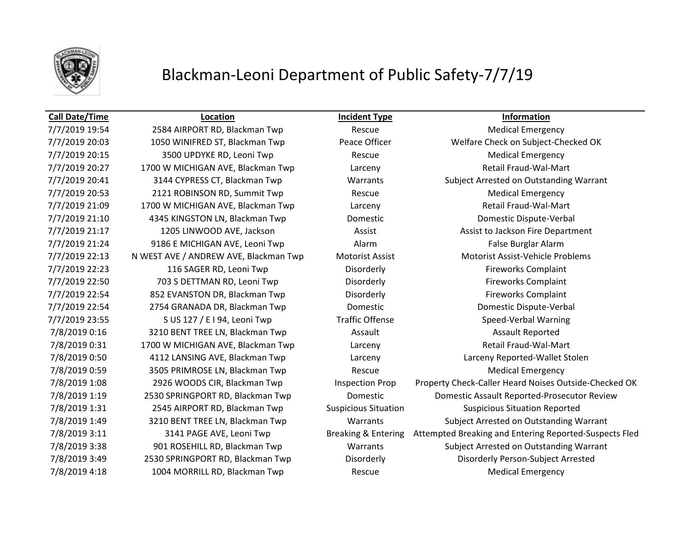

## Blackman-Leoni Department of Public Safety-7/7/19

7/7/2019 20:15 3500 UPDYKE RD, Leoni Twp Rescue Rescue Medical Emergency 7/7/2019 20:53 2121 ROBINSON RD, Summit Twp Rescue Rescue Medical Emergency 7/7/2019 21:24 9186 E MICHIGAN AVE, Leoni Twp Balarm Alarm Ralarm False Burglar Alarm 7/8/2019 0:16 3210 BENT TREE LN, Blackman Twp Assault Assault Assault Assault Reported 7/8/2019 0:59 3505 PRIMROSE LN, Blackman Twp Rescue Rescue Medical Emergency 7/8/2019 4:18 1004 MORRILL RD, Blackman Twp Rescue Medical Emergency

**Call Date/Time Location Incident Type Information**

7/7/2019 19:54 2584 AIRPORT RD, Blackman Twp Rescue Medical Emergency 7/7/2019 20:03 1050 WINIFRED ST, Blackman Twp Peace Officer Welfare Check on Subject-Checked OK 7/7/2019 20:27 1700 W MICHIGAN AVE, Blackman Twp Larceny Larceny Retail Fraud-Wal-Mart 7/7/2019 20:41 3144 CYPRESS CT, Blackman Twp Warrants Subject Arrested on Outstanding Warrant 7/7/2019 21:09 1700 W MICHIGAN AVE, Blackman Twp Larceny Larceny Retail Fraud-Wal-Mart 7/7/2019 21:10 4345 KINGSTON LN, Blackman Twp Domestic Domestic Dispute-Verbal 7/7/2019 21:17 1205 LINWOOD AVE, Jackson Assist Assist Assist to Jackson Fire Department 7/7/2019 22:13 N WEST AVE / ANDREW AVE, Blackman Twp Motorist Assist Motorist Assist-Vehicle Problems 7/7/2019 22:23 116 SAGER RD, Leoni Twp Disorderly Fireworks Complaint 7/7/2019 22:50 703 S DETTMAN RD, Leoni Twp Disorderly Disorderly Fireworks Complaint 7/7/2019 22:54 852 EVANSTON DR, Blackman Twp Disorderly Disorderly Fireworks Complaint 7/7/2019 22:54 2754 GRANADA DR, Blackman Twp Domestic Domestic Dispute-Verbal 7/7/2019 23:55 S US 127 / E I 94, Leoni Twp Traffic Offense Speed-Verbal Warning 7/8/2019 0:31 1700 W MICHIGAN AVE, Blackman Twp Larceny Larceny Retail Fraud-Wal-Mart 7/8/2019 0:50 4112 LANSING AVE, Blackman Twp Larceny Larceny Reported-Wallet Stolen 7/8/2019 1:08 2926 WOODS CIR, Blackman Twp Inspection Prop Property Check-Caller Heard Noises Outside-Checked OK 7/8/2019 1:19 2530 SPRINGPORT RD, Blackman Twp Domestic Domestic Assault Reported-Prosecutor Review 7/8/2019 1:31 2545 AIRPORT RD, Blackman Twp Suspicious Situation Suspicious Situation Reported 7/8/2019 1:49 3210 BENT TREE LN, Blackman Twp Warrants Subject Arrested on Outstanding Warrant 7/8/2019 3:11 3141 PAGE AVE, Leoni Twp Breaking & Entering Attempted Breaking and Entering Reported-Suspects Fled 7/8/2019 3:38 901 ROSEHILL RD, Blackman Twp Warrants Subject Arrested on Outstanding Warrant 7/8/2019 3:49 2530 SPRINGPORT RD, Blackman Twp Disorderly Disorderly Person-Subject Arrested